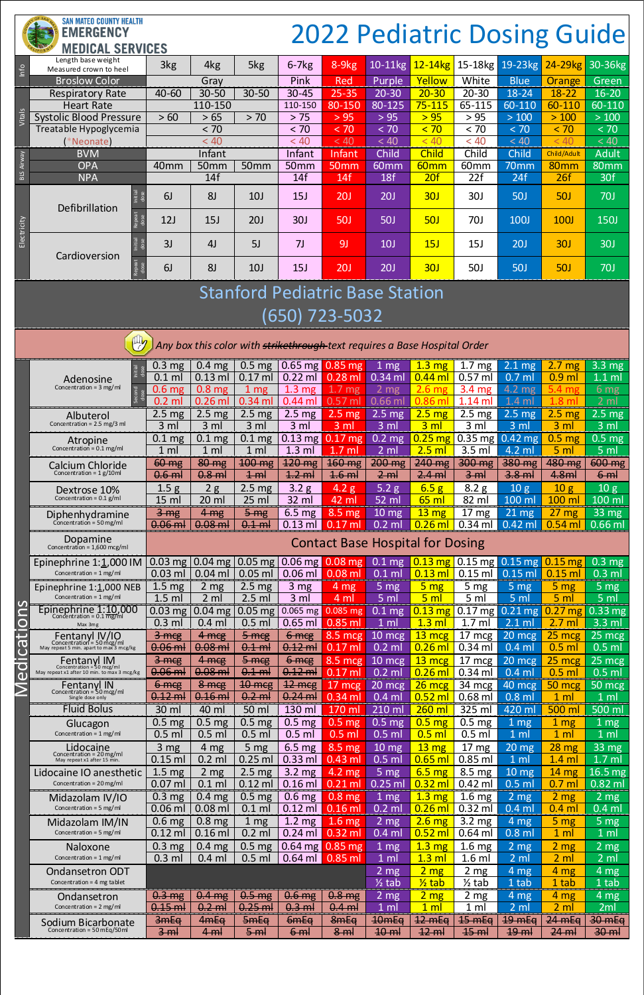#### **SAN MATEO COUNTY HEALTH EMERGENCY MEDICAL SERVICES**

# 2022 Pediatric Dosing Guide

## Stanford Pediatric Base Station

### (650) 723-5032

| Info              | Length base weight<br>Measured crown to heel | 3kg                  | 4kg              | 5kg              | $6 - 7$ $kg$     | 8-9kg            | $10-11$ kg       | $12 - 14$ kg     |                  | 15-18kg 19-23kg | 24-29 <sub>kg</sub> | 30-36kg      |
|-------------------|----------------------------------------------|----------------------|------------------|------------------|------------------|------------------|------------------|------------------|------------------|-----------------|---------------------|--------------|
|                   | <b>Broslow Color</b>                         |                      | Gray             |                  | Pink             | Red              | Purple           | Yellow           | White            | <b>Blue</b>     | Orange              | Green        |
|                   | <b>Respiratory Rate</b>                      | $40 - 60$            | $30 - 50$        | $30 - 50$        | $30 - 45$        | $25 - 35$        | $20 - 30$        | $20 - 30$        | $20 - 30$        | 18-24           | $18 - 22$           | $16 - 20$    |
|                   | <b>Heart Rate</b>                            |                      | 110-150          |                  | 110-150          | 80-150           | 80-125           | $75 - 115$       | 65-115           | 60-110          | 60-110              | 60-110       |
| Vitals            | <b>Systolic Blood Pressure</b>               | >60                  | > 65             | > 70             | > 75             | > 95             | > 95             | > 95             | > 95             | $>100$          | >100                | >100         |
|                   | Treatable Hypoglycemia                       |                      | < 70             |                  | < 70             | < 70             | < 70             | < 70             | < 70             | < 70            | < 70                | < 70         |
|                   | *Neonate)                                    |                      | < 40             |                  | < 40             | < 40             | < 40             | < 40             | < 40             | < 40            | < 40                | < 40         |
|                   | <b>BVM</b>                                   |                      | Infant           |                  | Infant           | Infant           | Child            | <b>Child</b>     | Child            | <b>Child</b>    | Child/Adult         | <b>Adult</b> |
| <b>BLS Airway</b> | <b>OPA</b>                                   | 40 <sub>mm</sub>     | 50 <sub>mm</sub> | 50 <sub>mm</sub> | 50 <sub>mm</sub> | 50 <sub>mm</sub> | 60 <sub>mm</sub> | 60 <sub>mm</sub> | 60 <sub>mm</sub> | 70mm            | 80mm                | 80mm         |
|                   | <b>NPA</b>                                   |                      | 14f              |                  | 14f              | 14f              | 18f              | 20f              | 22f              | 24f             | 26f                 | 30f          |
| Electricity       | Defibrillation                               | nitial<br>dose<br>6J | 8 <sub>J</sub>   | 10 <sub>J</sub>  | 15J              | 20J              | 20J              | 30J              | <b>30J</b>       | <b>50J</b>      | <b>50J</b>          | <b>70J</b>   |
|                   | Repeat<br>dose                               | 12J                  | 15J              | 20J              | <b>30J</b>       | <b>50J</b>       | <b>50J</b>       | 50J              | <b>70J</b>       | <b>100J</b>     | <b>100J</b>         | <b>150J</b>  |
|                   | nitial<br>Cardioversion                      | 3J                   | 4 <sub>J</sub>   | 5J               | 7 <sub>J</sub>   | 9 <sub>J</sub>   | 10 <sub>J</sub>  | 15J              | 15J              | 20J             | 30J                 | <b>30J</b>   |
|                   | Repeat<br>dose                               | 6J                   | 8J               | 10 <sub>J</sub>  | 15J              | 20J              | 20J              | 30J              | <b>50J</b>       | <b>50J</b>      | <b>50J</b>          | <b>70J</b>   |

|                                                | Any box this color with strikethrough text requires a Base Hospital Order                                                                        |                                                    |                                                       |                                                       |                                                   |                                                              |                                                           |                                                          |                                                         |                                                       |                                                        |                                                               |
|------------------------------------------------|--------------------------------------------------------------------------------------------------------------------------------------------------|----------------------------------------------------|-------------------------------------------------------|-------------------------------------------------------|---------------------------------------------------|--------------------------------------------------------------|-----------------------------------------------------------|----------------------------------------------------------|---------------------------------------------------------|-------------------------------------------------------|--------------------------------------------------------|---------------------------------------------------------------|
|                                                | Initial<br>Adenosine<br>Concentration = $3 \text{ mg/ml}$                                                                                        | $0.3 \text{ mg}$<br>0.1<br>ml<br>0.6 <sub>mg</sub> | 0.4 <sub>mg</sub><br>$0.13$ ml<br>0.8 <sub>mg</sub>   | 0.5 <sub>mg</sub><br>$0.17$ ml<br>$1 \text{ mg}$      | $0.22$ ml<br>1.3 <sub>mg</sub>                    | $0.65$ mg $0.85$ mg<br>$0.28$ ml<br>1.7 <sub>mg</sub>        | 1 mg<br>$0.34$ ml<br>2 <sub>mg</sub>                      | $1.3 \text{ mg}$<br>$0.44$ ml<br>2.6 <sub>mg</sub>       | 1.7<br>mg<br>$0.57$ ml<br>3.4 <sub>mg</sub>             | $2.1 \overline{mg}$<br>$0.7$ ml<br>$4.2 \text{ mg}$   | <b>2.7</b><br>mg<br>$0.9$ ml<br>5.4 mg                 | $3.3 \, mg$<br>$1.1$ ml<br>6 <sub>mg</sub>                    |
|                                                | Second<br>Albuterol                                                                                                                              | $0.2$ ml<br>$2.5 \text{ mg}$                       | $0.26$ ml<br>2.5 <sub>mg</sub>                        | $0.34$ ml<br>$2.5 \text{ mg}$                         | $0.44$ ml<br>$2.5 \text{ mg}$                     | $0.57$ ml<br>$2.5 \overline{mg}$                             | $0.66$ ml<br>$2.5$ mg                                     | $0.86$ ml<br>2.5 <sub>mg</sub>                           | $1.14$ m<br>2.5 <sub>mg</sub>                           | $1.4$ ml<br>$2.5$ mg                                  | $1.8$ ml<br>2.5 <sub>mg</sub>                          | 2 <sub>m</sub><br>2.5 <sub>mg</sub>                           |
|                                                | Concentration = $2.5 \text{ mg}/3 \text{ ml}$<br>Atropine<br>Concentration = $0.1$ mg/ml                                                         | 3 <sub>m</sub><br>$0.1$ mg<br>1 <sub>m</sub>       | 3 <sub>m</sub><br>0.1 <sub>mg</sub><br>1 <sub>m</sub> | 3 <sub>m</sub><br>0.1 <sub>mg</sub><br>1 <sub>m</sub> | 3 <sub>m</sub><br>$0.13$ mg<br>$1.3$ ml           | 3 <sub>m</sub><br>$0.17$ mg<br>.7 <sub>m</sub>               | 3 <sub>m</sub><br>$0.2$ mg<br>$2 \mathrm{ml}$             | 3 <sub>m</sub><br>$0.25$ mg<br>$2.5$ ml                  | 3 ml<br>$0.35$ mg<br>3.5 ml                             | 3 <sub>m</sub><br>$0.42$ mg<br>4.2 ml                 | 3 <sub>ml</sub><br>0.5 <sub>mg</sub><br>5 <sub>m</sub> | $3 \text{ ml}$<br>$0.5 \text{ mg}$<br>5 <sub>m</sub>          |
|                                                | Calcium Chloride<br>Concentration = $1 g/10$ ml                                                                                                  | 60 mg<br>$0.6$ ml                                  | <b>80 mg</b><br>$0.8$ ml                              | <b>100 mg</b><br>$1 - m$                              | $120$ mg<br>$4.2$ m                               | <b>160 mg</b><br>4.6 <sub>m</sub>                            | $200$ mg<br>2 <sub>m</sub>                                | 240 mg<br>$2.4$ ml                                       | 300 mg<br>3 <sub>m</sub>                                | 380 mg<br>$3.8$ m                                     | 480 mg<br>4.8ml                                        | 600 mg<br>6 <sub>m</sub>                                      |
|                                                | Dextrose 10%<br>Concentration = $0.1$ g/ml                                                                                                       | 1.5g<br>$15 \text{ ml}$                            | 2g<br>20 ml                                           | 2.5 <sub>mg</sub><br>$25$ ml                          | 3.2 <sub>g</sub><br>32 ml                         | 4.2 <sub>g</sub><br>42 ml                                    | 5.2g<br>52 ml                                             | 6.5 <sub>g</sub><br>$65$ ml                              | 8.2 g<br>82 m                                           | 10 <sub>g</sub><br>100 ml                             | 10 <sub>g</sub><br>100 ml                              | 10g<br>100 ml                                                 |
|                                                | Diphenhydramine<br>Concentration = $50 \,\mathrm{mg/ml}$<br>Dopamine                                                                             | 3mg<br>$0.06$ ml                                   | 4mg<br>$0.08$ m                                       | 5mg<br>$0.1$ m                                        | $6.5 \text{ mg}$<br>$0.13$ ml                     | $8.5 \overline{mg}$<br>$0.17$ m                              | $10$ mg<br>$0.2$ ml                                       | $13 \text{ mg}$<br>0.26 <sub>m</sub>                     | 17 <sub>mg</sub><br>$0.34$ ml                           | $21 \text{ mg}$<br>$0.42$ ml                          | 27 <sub>mg</sub><br>0.54 m                             | $33 \text{ mg}$<br>$0.66$ ml                                  |
|                                                | Concentration = $1,600$ mcg/ml<br>Epinephrine 1:1,000 IM                                                                                         | $0.03$ mg                                          | $0.04$ mg                                             | $0.05$ mg                                             | $0.06$ mg                                         | <b>Contact Base Hospital for Dosing</b><br>.08 <sub>mg</sub> | 0.1<br>mg                                                 | $0.13$ mg                                                | $0.15$ mg                                               | $0.15$ mg                                             | $0.15$ mg                                              | $0.3$ mg                                                      |
|                                                | Concentration = $1 \text{ mg/ml}$<br>Epinephrine $1:\underline{1}$ ,000 NEB<br>Concentration = $1$ mg/ml                                         | $0.03$ ml<br>1.5 <sub>mg</sub><br>$1.5$ ml         | $0.04$ ml<br>2 <sub>mg</sub><br>$2 \mathrm{ml}$       | $0.05$ ml<br>2.5 <sub>mg</sub><br>$2.5$ ml            | $0.06$ ml<br>3 <sub>mg</sub><br>3 ml              | $\overline{0.08}$ ml<br>$4 \overline{mg}$<br>4 ml            | $0.1$ ml<br>5 <sub>mg</sub><br>5 <sub>m</sub>             | $0.13$ ml<br>5 <sub>mg</sub><br>5 <sub>m</sub>           | $0.15$ ml<br>5 mg<br>5 <sub>m</sub>                     | $0.15$ m<br>5 <sub>mg</sub><br>5 <sub>m</sub>         | 0.15 m<br>5 <sub>mg</sub><br>5 <sub>m</sub>            | $0.3$ ml<br>5 <sub>mg</sub><br>5 <sub>m</sub>                 |
| U<br>$\overline{\mathsf{C}}$<br>$\overline{O}$ | Epinephrine $1:10,000$<br>Concentration = $0.1 \frac{mg}{mg/m}$<br>Max 3mg                                                                       | $0.03$ mg<br>$0.3$ ml                              | $0.04$ mg<br>$0.4$ ml                                 | $0.05$ mg<br>$0.5$ ml                                 | $0.065$ mg<br>$0.65$ ml                           | $0.085$ mg<br>$0.85$ ml                                      | $0.1 \overline{mg}$<br>1 <sub>m</sub>                     | $0.13$ mg<br>1.3 <sub>m</sub>                            | $0.17$ mg<br>$1.7$ ml                                   | $0.21 \text{ mg}$<br>$2.1 \text{ ml}$                 | 27 <sub>mg</sub><br>0.<br>$2.7$ m                      | $0.33$ mg<br>$3.3$ ml                                         |
| $\overline{\textbf{C}}$<br>$\mathbf{C}$        | Fentanyl IV/IO<br>Concentration = 50 mcg/ml<br>May repeat 5 min. apart to max 3 mcg/kg                                                           | $3 \text{ m}$ cg<br>$0.06$ ml                      | $4 \text{ m}$ eg<br>$0.08$ ml<br>$4 \text{ mcg}$      | 5 <sub>meg</sub><br>$0.1$ m                           | $6 - meg$<br>$0.12$ ml                            | $8.5$ mcg<br>$0.17$ ml                                       | 10 mcg<br>$0.2$ ml                                        | 13 mcg<br>$0.26$ ml                                      | 17 mcg<br>$0.34$ ml                                     | $20$ mcg<br>$0.4$ ml                                  | 25 mcg<br>$0.5$ m                                      | 25 mcg<br>$0.5$ ml                                            |
| d                                              | <b>Fentanyl IM</b><br>Concentration = $50 \text{ mcg/ml}$<br>May repeat x1 after 10 min. to max 3 mcg/kg<br>Fentanyl IN                          | $3 \text{ m}$ cg<br>$0.06$ ml<br><del>6 mcg</del>  | $0.08$ ml<br>8 mcg                                    | $5 - mcg$<br>$0.1$ m<br>10 mcg                        | $6 \text{ m}$ eg<br><del>0.12 ml</del><br>12 mcg  | $8.5 \overline{m}$<br>$0.17$ ml<br>$17 \text{ mcg}$          | 10 mcg<br>$0.2$ ml<br>20 mcg                              | 13 mcg<br>$0.26$ ml<br>26 mcg                            | 17 mcg<br>$0.34$ ml<br>34 mcg                           | $20$ mcg<br>$0.4$ ml<br>40 mcg                        | 25 mcg<br>$0.5$ ml<br>50 mcg                           | 25 mcg<br>$0.5$ ml<br>$50 \text{ m}$                          |
|                                                | Concentration = $50 \,\mathrm{mg/ml}$<br>Single dose only<br><b>Fluid Bolus</b>                                                                  | $0.12$ ml<br>30 ml                                 | $0.16$ ml<br>40 ml                                    | $0.2$ m<br>50 ml                                      | $\bigcap$<br>$0.24$ ml<br>130 ml                  | $0.34$ ml<br>170 ml                                          | $0.4$ ml<br>210 ml                                        | $0.52$ ml<br>$260$ ml                                    | $0.68$ ml<br>325 ml                                     | $0.8$ ml<br>420 ml                                    | $1 \mathrm{m}$<br>500 <sub>m</sub>                     | 1 ml<br>500 ml                                                |
|                                                | Glucagon<br>Concentration = $1$ mg/ml                                                                                                            | 0.5 <sub>mg</sub><br>$0.5$ ml<br>3 <sub>mg</sub>   | 0.5 <sub>mg</sub><br>$0.5$ ml<br>4 mg                 | 0.5 <sub>mg</sub><br>$0.5$ ml<br>5 <sub>mg</sub>      | 0.5 <sub>mg</sub><br>$0.5$ ml<br>$6.5 \text{ mg}$ | 0.5 <sub>mg</sub><br>$0.5$ ml<br>$8.5 \text{ mg}$            | $0.5$ mg<br>$0.5$ ml<br>$10 \text{ mg}$                   | 0.5 <sub>mg</sub><br>0.5 <sub>m</sub><br>$13 \text{ mg}$ | 0.5 <sub>mg</sub><br>$0.5$ ml<br>$17 \text{ mg}$        | $1 \text{ mg}$<br>1 <sub>m</sub><br>$20 \, \text{mg}$ | 1 <sub>mg</sub><br>1 <sub>m</sub><br>28 <sub>mg</sub>  | 1 <sub>mg</sub><br>1 <sub>m</sub><br>33 mg                    |
|                                                | $\begin{array}{c}\n \text{Lidocaine} \\ \text{Concentration = 20 mg/ml}\n \end{array}$<br>May repeat x1 after 15 min.<br>Lidocaine IO anesthetic | $0.15$ ml<br>$1.5 \text{ mg}$                      | $0.2$ ml<br>2 <sub>mg</sub>                           | $0.25$ ml<br>2.5 <sub>mg</sub>                        | $0.33$ ml<br>$3.2 \text{ mg}$                     | $0.43$ ml<br>4.2 mg                                          | $0.5$ ml<br>5 <sub>mg</sub>                               | $0.65$ ml<br>6.5 <sub>mg</sub>                           | $0.85$ ml<br>8.5 mg                                     | 1 <sub>m</sub><br>$10 \text{ mg}$                     | 1.4 <sub>m</sub><br>14 <sub>mg</sub>                   | $1.7 \overline{\mathrm{ml}}$<br>16.5 mg                       |
|                                                | Concentration = $20$ mg/ml<br>Midazolam IV/IO<br>Concentration = $5$ mg/ml                                                                       | $0.07$ ml<br>0.3 <sub>mg</sub><br>$0.06$ ml        | $0.1$ ml<br>0.4 <sub>mg</sub><br>$0.08$ ml            | $0.12$ ml<br>0.5 <sub>mg</sub><br>$0.1$ ml            | $0.16$ ml<br>0.6 <sub>mg</sub><br>$0.12$ ml       | $0.21$ ml<br>$0.8 \overline{mg}$<br>$0.16$ ml                | $0.25$ ml<br>$1 \text{ mg}$<br>$0.2$ ml                   | $0.32$ ml<br>1.3 <sub>mg</sub><br>$0.26$ ml              | $0.42$ ml<br>1.6 <sub>mg</sub><br>$0.32$ ml             | $0.5$ ml<br>$2 \, \text{mg}$<br>$0.4$ ml              | $0.7$ m<br>2 <sub>mg</sub><br>$0.4$ ml                 | $0.82$ ml<br>$2 \overline{mg}$<br>$0.4$ ml                    |
|                                                | Midazolam IM/IN<br>Concentration = $5 \text{ mg/ml}$                                                                                             | $0.6$ mg<br>$0.12$ ml                              | $0.8$ mg<br>$0.16$ ml                                 | $1 \, \text{mg}$<br>$0.2$ ml                          | $1.2 \text{ mg}$<br>$0.24$ ml                     | $1.6$ mg<br>$0.32$ ml                                        | 2 <sub>mg</sub><br>$0.4$ ml                               | $2.6$ mg<br>$0.52$ ml                                    | $3.2 \text{ mg}$<br>$0.64$ ml                           | $4 \text{ mg}$<br>$0.8$ ml                            | 5 <sub>mg</sub><br>1 <sub>m</sub>                      | $5 \, \text{mg}$<br>1 <sub>m</sub>                            |
|                                                | <b>Naloxone</b><br>Concentration = $1$ mg/ml                                                                                                     | $0.3 \text{ mg}$<br>$0.3$ ml                       | 0.4 <sub>mg</sub><br>$0.4$ ml                         | 0.5 <sub>mg</sub><br>$0.5$ ml                         | $0.64$ mg<br>$0.64$ ml                            | $0.85$ mg<br>$0.85$ ml                                       | $1 \text{ mg}$<br>1 <sub>m</sub>                          | 1.3 <sub>mg</sub><br>1.3 <sub>m</sub>                    | 1.6 <sub>mg</sub><br>$1.6$ ml                           | $2 \overline{mg}$<br>2 ml                             | 2 <sub>mg</sub><br>2 <sub>m</sub>                      | 2 <sub>mg</sub><br>$2 \,$ ml                                  |
|                                                | <b>Ondansetron ODT</b><br>Concentration = $4 \text{ mg}$ tablet<br>Ondansetron                                                                   | $0.3$ mg                                           | $0.4 \text{ mg}$                                      | $0.5 \text{ mg}$                                      | $0.6$ mg                                          | 0.8 <sub>mg</sub>                                            | $2 \, \text{mg}$<br>$\frac{1}{2}$ tab<br>$2 \, \text{mg}$ | 2 <sub>mg</sub><br>$\frac{1}{2}$ tab<br>$2 \text{ mg}$   | 2 <sub>mg</sub><br>$\frac{1}{2}$ tab<br>2 <sub>mg</sub> | $4 \text{ mg}$<br>1 tab<br>$4 \text{ mg}$             | 4 <sub>mg</sub><br>1 tab<br>4 mg                       | $4 \overline{\text{mg}}$<br>1 tab<br>$4 \overline{\text{mg}}$ |
|                                                | Concentration = $2$ mg/ml<br>Sodium Bicarbonate                                                                                                  | $0.15$ ml<br>3mEq                                  | $0.2$ m<br>4mEq                                       | $0.25$ ml<br>5mEq                                     | $0.3$ m<br>6mEq                                   | $0.4 \, \text{m}$<br>8mEq                                    | 1 <sub>m</sub><br>10 <sub>mEq</sub>                       | 1 <sub>m</sub><br>$42 \text{ mEq}$                       | 1 <sub>m</sub><br><del>15 mEq</del>                     | $2 \mathrm{ml}$<br>19 <sub>mEq</sub>                  | 2 <sub>m</sub><br>$24 \text{ mEq}$                     | 2ml<br><del>30 mEq</del>                                      |
|                                                | Concentration = 50 mEq/50ml                                                                                                                      | 3 <sub>m</sub>                                     | <del>4 ml</del>                                       | 5 <sub>m</sub>                                        | 6 <sub>m</sub>                                    | 8 <sub>m</sub>                                               | 10 <sub>m</sub>                                           | $12 \text{ m}$                                           | $45 \text{ m}$                                          | 49 <sub>m</sub>                                       | $24$ m                                                 | 30 <sub>m</sub>                                               |